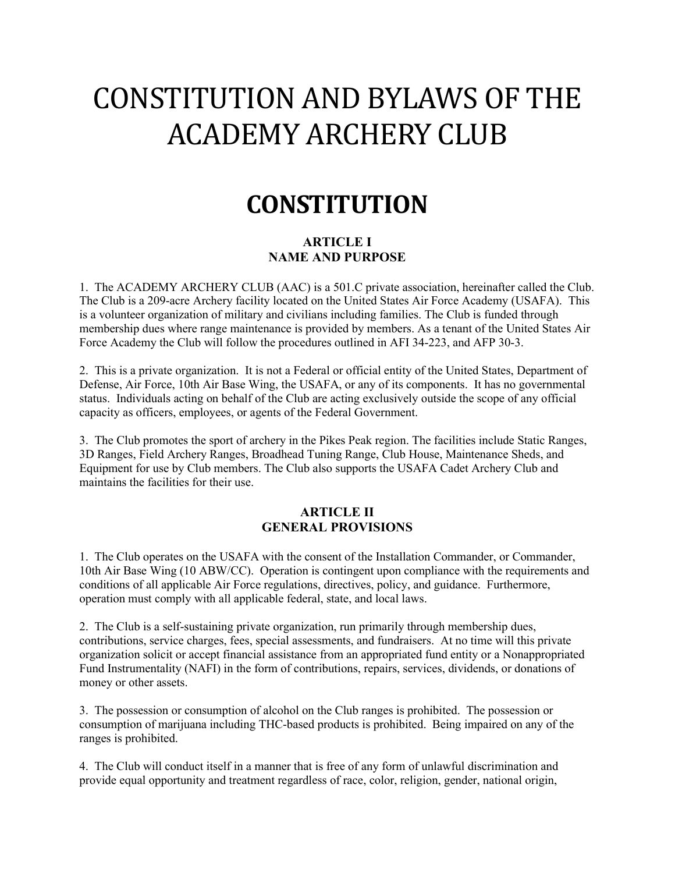# CONSTITUTION AND BYLAWS OF THE ACADEMY ARCHERY CLUB

## **CONSTITUTION**

## **ARTICLE I NAME AND PURPOSE**

1. The ACADEMY ARCHERY CLUB (AAC) is a 501.C private association, hereinafter called the Club. The Club is a 209-acre Archery facility located on the United States Air Force Academy (USAFA). This is a volunteer organization of military and civilians including families. The Club is funded through membership dues where range maintenance is provided by members. As a tenant of the United States Air Force Academy the Club will follow the procedures outlined in AFI 34-223, and AFP 30-3.

2. This is a private organization. It is not a Federal or official entity of the United States, Department of Defense, Air Force, 10th Air Base Wing, the USAFA, or any of its components. It has no governmental status. Individuals acting on behalf of the Club are acting exclusively outside the scope of any official capacity as officers, employees, or agents of the Federal Government.

3. The Club promotes the sport of archery in the Pikes Peak region. The facilities include Static Ranges, 3D Ranges, Field Archery Ranges, Broadhead Tuning Range, Club House, Maintenance Sheds, and Equipment for use by Club members. The Club also supports the USAFA Cadet Archery Club and maintains the facilities for their use.

## **ARTICLE II GENERAL PROVISIONS**

1. The Club operates on the USAFA with the consent of the Installation Commander, or Commander, 10th Air Base Wing (10 ABW/CC). Operation is contingent upon compliance with the requirements and conditions of all applicable Air Force regulations, directives, policy, and guidance. Furthermore, operation must comply with all applicable federal, state, and local laws.

2. The Club is a self-sustaining private organization, run primarily through membership dues, contributions, service charges, fees, special assessments, and fundraisers. At no time will this private organization solicit or accept financial assistance from an appropriated fund entity or a Nonappropriated Fund Instrumentality (NAFI) in the form of contributions, repairs, services, dividends, or donations of money or other assets.

3. The possession or consumption of alcohol on the Club ranges is prohibited. The possession or consumption of marijuana including THC-based products is prohibited. Being impaired on any of the ranges is prohibited.

4. The Club will conduct itself in a manner that is free of any form of unlawful discrimination and provide equal opportunity and treatment regardless of race, color, religion, gender, national origin,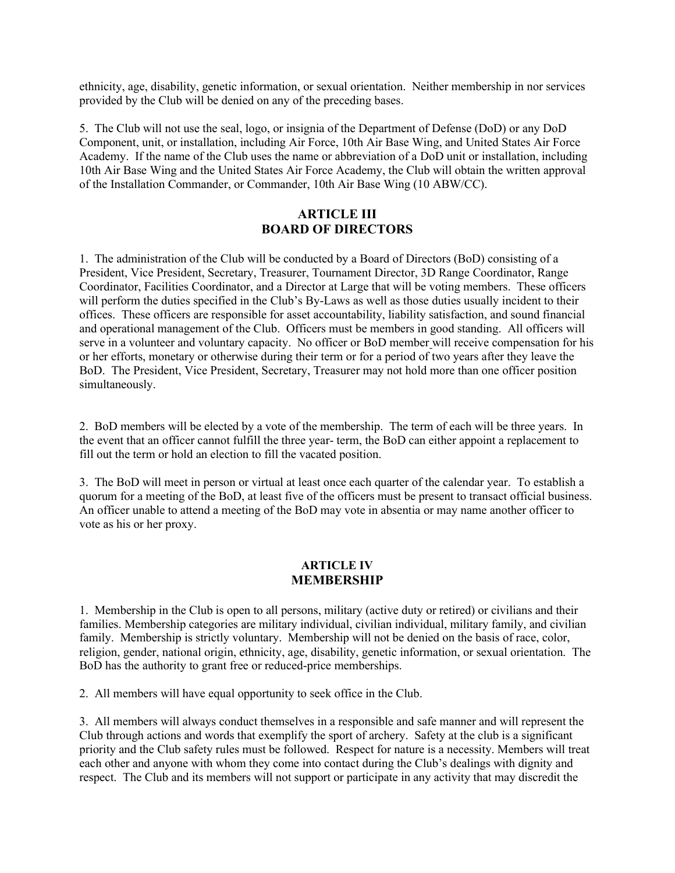ethnicity, age, disability, genetic information, or sexual orientation. Neither membership in nor services provided by the Club will be denied on any of the preceding bases.

5. The Club will not use the seal, logo, or insignia of the Department of Defense (DoD) or any DoD Component, unit, or installation, including Air Force, 10th Air Base Wing, and United States Air Force Academy. If the name of the Club uses the name or abbreviation of a DoD unit or installation, including 10th Air Base Wing and the United States Air Force Academy, the Club will obtain the written approval of the Installation Commander, or Commander, 10th Air Base Wing (10 ABW/CC).

## **ARTICLE III BOARD OF DIRECTORS**

1. The administration of the Club will be conducted by a Board of Directors (BoD) consisting of a President, Vice President, Secretary, Treasurer, Tournament Director, 3D Range Coordinator, Range Coordinator, Facilities Coordinator, and a Director at Large that will be voting members. These officers will perform the duties specified in the Club's By-Laws as well as those duties usually incident to their offices. These officers are responsible for asset accountability, liability satisfaction, and sound financial and operational management of the Club. Officers must be members in good standing. All officers will serve in a volunteer and voluntary capacity. No officer or BoD member will receive compensation for his or her efforts, monetary or otherwise during their term or for a period of two years after they leave the BoD. The President, Vice President, Secretary, Treasurer may not hold more than one officer position simultaneously.

2. BoD members will be elected by a vote of the membership. The term of each will be three years. In the event that an officer cannot fulfill the three year- term, the BoD can either appoint a replacement to fill out the term or hold an election to fill the vacated position.

3. The BoD will meet in person or virtual at least once each quarter of the calendar year. To establish a quorum for a meeting of the BoD, at least five of the officers must be present to transact official business. An officer unable to attend a meeting of the BoD may vote in absentia or may name another officer to vote as his or her proxy.

#### **ARTICLE IV MEMBERSHIP**

1. Membership in the Club is open to all persons, military (active duty or retired) or civilians and their families. Membership categories are military individual, civilian individual, military family, and civilian family. Membership is strictly voluntary. Membership will not be denied on the basis of race, color, religion, gender, national origin, ethnicity, age, disability, genetic information, or sexual orientation. The BoD has the authority to grant free or reduced-price memberships.

2. All members will have equal opportunity to seek office in the Club.

3. All members will always conduct themselves in a responsible and safe manner and will represent the Club through actions and words that exemplify the sport of archery. Safety at the club is a significant priority and the Club safety rules must be followed. Respect for nature is a necessity. Members will treat each other and anyone with whom they come into contact during the Club's dealings with dignity and respect. The Club and its members will not support or participate in any activity that may discredit the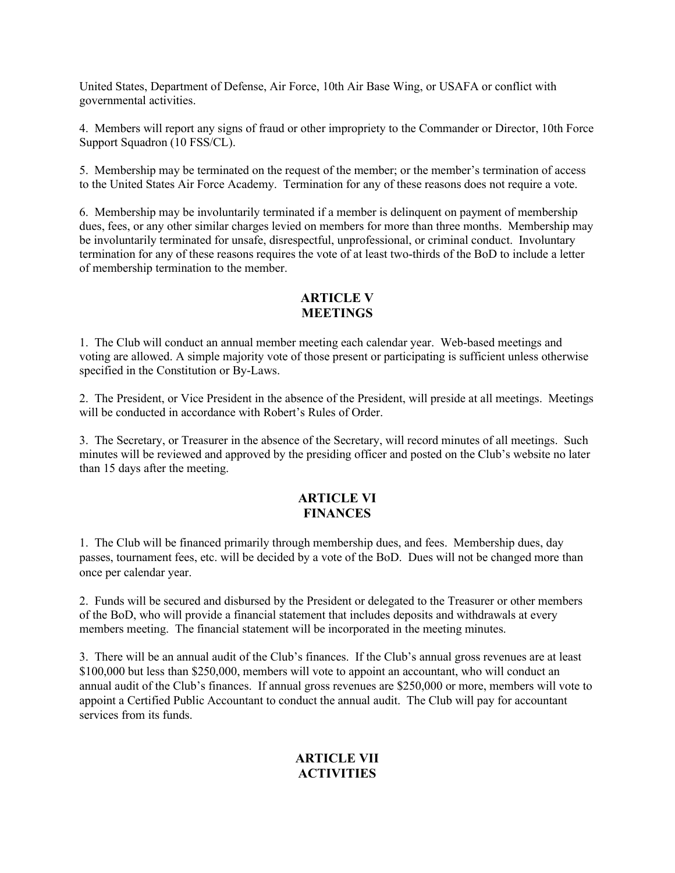United States, Department of Defense, Air Force, 10th Air Base Wing, or USAFA or conflict with governmental activities.

4. Members will report any signs of fraud or other impropriety to the Commander or Director, 10th Force Support Squadron (10 FSS/CL).

5. Membership may be terminated on the request of the member; or the member's termination of access to the United States Air Force Academy. Termination for any of these reasons does not require a vote.

6. Membership may be involuntarily terminated if a member is delinquent on payment of membership dues, fees, or any other similar charges levied on members for more than three months. Membership may be involuntarily terminated for unsafe, disrespectful, unprofessional, or criminal conduct. Involuntary termination for any of these reasons requires the vote of at least two-thirds of the BoD to include a letter of membership termination to the member.

## **ARTICLE V MEETINGS**

1. The Club will conduct an annual member meeting each calendar year. Web-based meetings and voting are allowed. A simple majority vote of those present or participating is sufficient unless otherwise specified in the Constitution or By-Laws.

2. The President, or Vice President in the absence of the President, will preside at all meetings. Meetings will be conducted in accordance with Robert's Rules of Order.

3. The Secretary, or Treasurer in the absence of the Secretary, will record minutes of all meetings. Such minutes will be reviewed and approved by the presiding officer and posted on the Club's website no later than 15 days after the meeting.

#### **ARTICLE VI FINANCES**

1. The Club will be financed primarily through membership dues, and fees. Membership dues, day passes, tournament fees, etc. will be decided by a vote of the BoD. Dues will not be changed more than once per calendar year.

2. Funds will be secured and disbursed by the President or delegated to the Treasurer or other members of the BoD, who will provide a financial statement that includes deposits and withdrawals at every members meeting. The financial statement will be incorporated in the meeting minutes.

3. There will be an annual audit of the Club's finances. If the Club's annual gross revenues are at least \$100,000 but less than \$250,000, members will vote to appoint an accountant, who will conduct an annual audit of the Club's finances. If annual gross revenues are \$250,000 or more, members will vote to appoint a Certified Public Accountant to conduct the annual audit. The Club will pay for accountant services from its funds.

## **ARTICLE VII ACTIVITIES**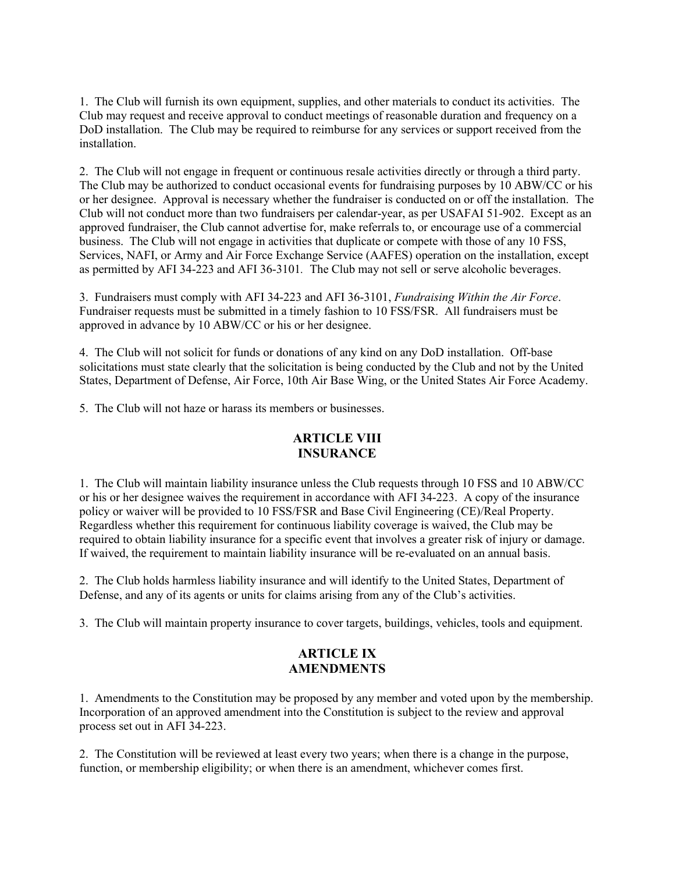1. The Club will furnish its own equipment, supplies, and other materials to conduct its activities. The Club may request and receive approval to conduct meetings of reasonable duration and frequency on a DoD installation. The Club may be required to reimburse for any services or support received from the installation.

2. The Club will not engage in frequent or continuous resale activities directly or through a third party. The Club may be authorized to conduct occasional events for fundraising purposes by 10 ABW/CC or his or her designee. Approval is necessary whether the fundraiser is conducted on or off the installation. The Club will not conduct more than two fundraisers per calendar-year, as per USAFAI 51-902. Except as an approved fundraiser, the Club cannot advertise for, make referrals to, or encourage use of a commercial business. The Club will not engage in activities that duplicate or compete with those of any 10 FSS, Services, NAFI, or Army and Air Force Exchange Service (AAFES) operation on the installation, except as permitted by AFI 34-223 and AFI 36-3101*.* The Club may not sell or serve alcoholic beverages.

3. Fundraisers must comply with AFI 34-223 and AFI 36-3101, *Fundraising Within the Air Force*. Fundraiser requests must be submitted in a timely fashion to 10 FSS/FSR. All fundraisers must be approved in advance by 10 ABW/CC or his or her designee.

4. The Club will not solicit for funds or donations of any kind on any DoD installation. Off-base solicitations must state clearly that the solicitation is being conducted by the Club and not by the United States, Department of Defense, Air Force, 10th Air Base Wing, or the United States Air Force Academy.

5. The Club will not haze or harass its members or businesses.

## **ARTICLE VIII INSURANCE**

1. The Club will maintain liability insurance unless the Club requests through 10 FSS and 10 ABW/CC or his or her designee waives the requirement in accordance with AFI 34-223. A copy of the insurance policy or waiver will be provided to 10 FSS/FSR and Base Civil Engineering (CE)/Real Property. Regardless whether this requirement for continuous liability coverage is waived, the Club may be required to obtain liability insurance for a specific event that involves a greater risk of injury or damage. If waived, the requirement to maintain liability insurance will be re-evaluated on an annual basis.

2. The Club holds harmless liability insurance and will identify to the United States, Department of Defense, and any of its agents or units for claims arising from any of the Club's activities.

3. The Club will maintain property insurance to cover targets, buildings, vehicles, tools and equipment.

## **ARTICLE IX AMENDMENTS**

1. Amendments to the Constitution may be proposed by any member and voted upon by the membership. Incorporation of an approved amendment into the Constitution is subject to the review and approval process set out in AFI 34-223.

2. The Constitution will be reviewed at least every two years; when there is a change in the purpose, function, or membership eligibility; or when there is an amendment, whichever comes first.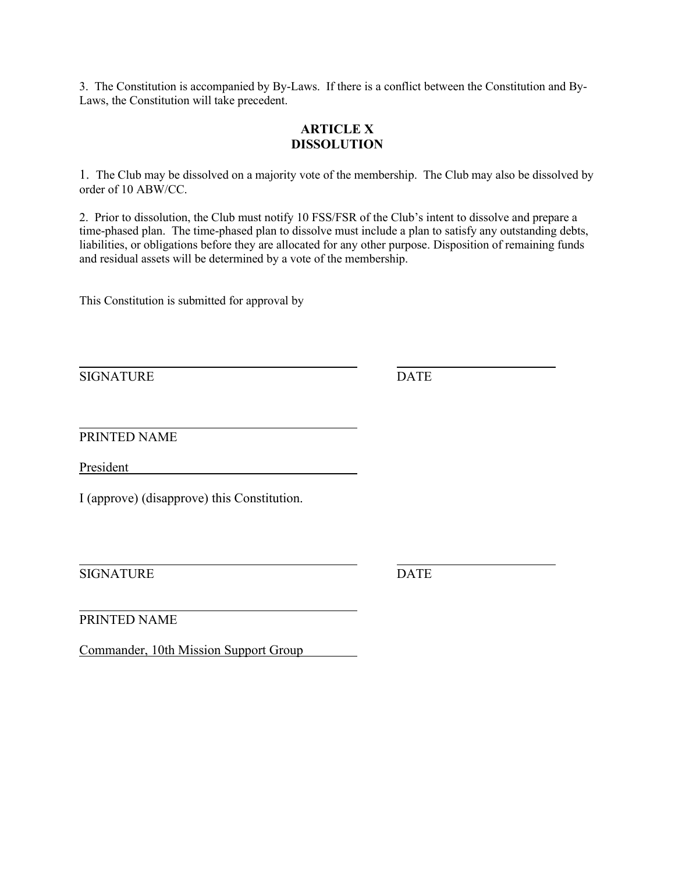3. The Constitution is accompanied by By-Laws. If there is a conflict between the Constitution and By-Laws, the Constitution will take precedent.

## **ARTICLE X DISSOLUTION**

1. The Club may be dissolved on a majority vote of the membership. The Club may also be dissolved by order of 10 ABW/CC.

2. Prior to dissolution, the Club must notify 10 FSS/FSR of the Club's intent to dissolve and prepare a time-phased plan. The time-phased plan to dissolve must include a plan to satisfy any outstanding debts, liabilities, or obligations before they are allocated for any other purpose. Disposition of remaining funds and residual assets will be determined by a vote of the membership.

This Constitution is submitted for approval by

SIGNATURE DATE

PRINTED NAME

President

I (approve) (disapprove) this Constitution.

SIGNATURE DATE

PRINTED NAME

Commander, 10th Mission Support Group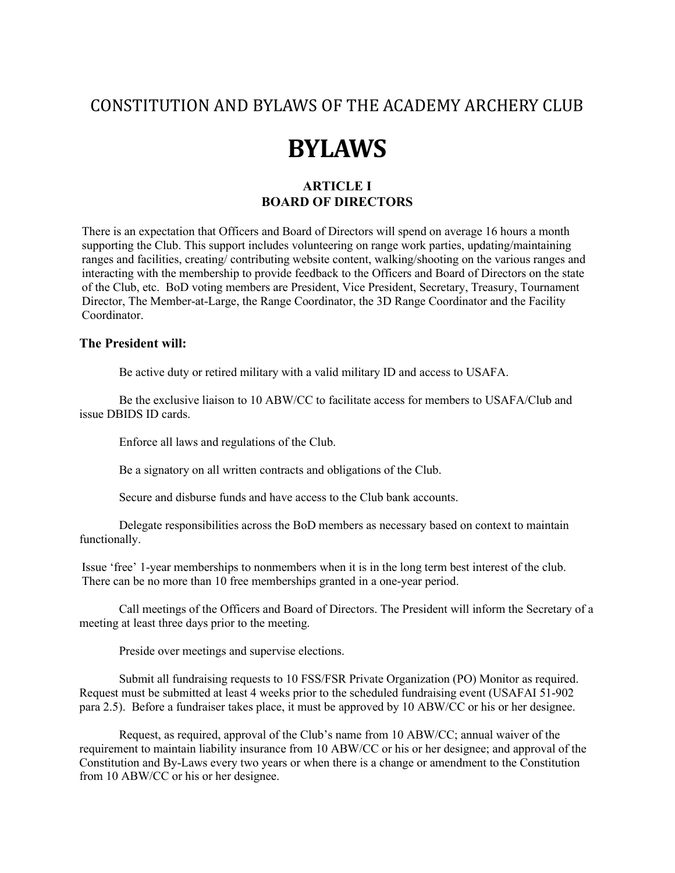## CONSTITUTION AND BYLAWS OF THE ACADEMY ARCHERY CLUB

## **BYLAWS**

## **ARTICLE I BOARD OF DIRECTORS**

There is an expectation that Officers and Board of Directors will spend on average 16 hours a month supporting the Club. This support includes volunteering on range work parties, updating/maintaining ranges and facilities, creating/ contributing website content, walking/shooting on the various ranges and interacting with the membership to provide feedback to the Officers and Board of Directors on the state of the Club, etc. BoD voting members are President, Vice President, Secretary, Treasury, Tournament Director, The Member-at-Large, the Range Coordinator, the 3D Range Coordinator and the Facility Coordinator.

#### **The President will:**

Be active duty or retired military with a valid military ID and access to USAFA.

Be the exclusive liaison to 10 ABW/CC to facilitate access for members to USAFA/Club and issue DBIDS ID cards.

Enforce all laws and regulations of the Club.

Be a signatory on all written contracts and obligations of the Club.

Secure and disburse funds and have access to the Club bank accounts.

Delegate responsibilities across the BoD members as necessary based on context to maintain functionally.

Issue 'free' 1-year memberships to nonmembers when it is in the long term best interest of the club. There can be no more than 10 free memberships granted in a one-year period.

Call meetings of the Officers and Board of Directors. The President will inform the Secretary of a meeting at least three days prior to the meeting.

Preside over meetings and supervise elections.

Submit all fundraising requests to 10 FSS/FSR Private Organization (PO) Monitor as required. Request must be submitted at least 4 weeks prior to the scheduled fundraising event (USAFAI 51-902 para 2.5). Before a fundraiser takes place, it must be approved by 10 ABW/CC or his or her designee.

Request, as required, approval of the Club's name from 10 ABW/CC; annual waiver of the requirement to maintain liability insurance from 10 ABW/CC or his or her designee; and approval of the Constitution and By-Laws every two years or when there is a change or amendment to the Constitution from 10 ABW/CC or his or her designee.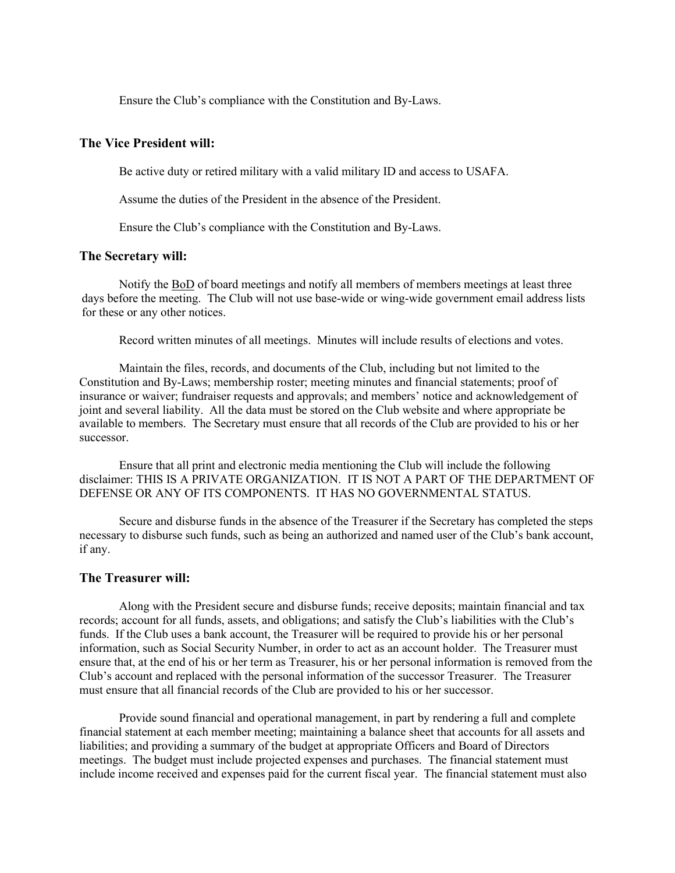Ensure the Club's compliance with the Constitution and By-Laws.

#### **The Vice President will:**

Be active duty or retired military with a valid military ID and access to USAFA.

Assume the duties of the President in the absence of the President.

Ensure the Club's compliance with the Constitution and By-Laws.

#### **The Secretary will:**

Notify the BoD of board meetings and notify all members of members meetings at least three days before the meeting. The Club will not use base-wide or wing-wide government email address lists for these or any other notices.

Record written minutes of all meetings. Minutes will include results of elections and votes.

Maintain the files, records, and documents of the Club, including but not limited to the Constitution and By-Laws; membership roster; meeting minutes and financial statements; proof of insurance or waiver; fundraiser requests and approvals; and members' notice and acknowledgement of joint and several liability. All the data must be stored on the Club website and where appropriate be available to members. The Secretary must ensure that all records of the Club are provided to his or her successor.

Ensure that all print and electronic media mentioning the Club will include the following disclaimer: THIS IS A PRIVATE ORGANIZATION. IT IS NOT A PART OF THE DEPARTMENT OF DEFENSE OR ANY OF ITS COMPONENTS. IT HAS NO GOVERNMENTAL STATUS.

Secure and disburse funds in the absence of the Treasurer if the Secretary has completed the steps necessary to disburse such funds, such as being an authorized and named user of the Club's bank account, if any.

#### **The Treasurer will:**

Along with the President secure and disburse funds; receive deposits; maintain financial and tax records; account for all funds, assets, and obligations; and satisfy the Club's liabilities with the Club's funds. If the Club uses a bank account, the Treasurer will be required to provide his or her personal information, such as Social Security Number, in order to act as an account holder. The Treasurer must ensure that, at the end of his or her term as Treasurer, his or her personal information is removed from the Club's account and replaced with the personal information of the successor Treasurer. The Treasurer must ensure that all financial records of the Club are provided to his or her successor.

Provide sound financial and operational management, in part by rendering a full and complete financial statement at each member meeting; maintaining a balance sheet that accounts for all assets and liabilities; and providing a summary of the budget at appropriate Officers and Board of Directors meetings. The budget must include projected expenses and purchases. The financial statement must include income received and expenses paid for the current fiscal year. The financial statement must also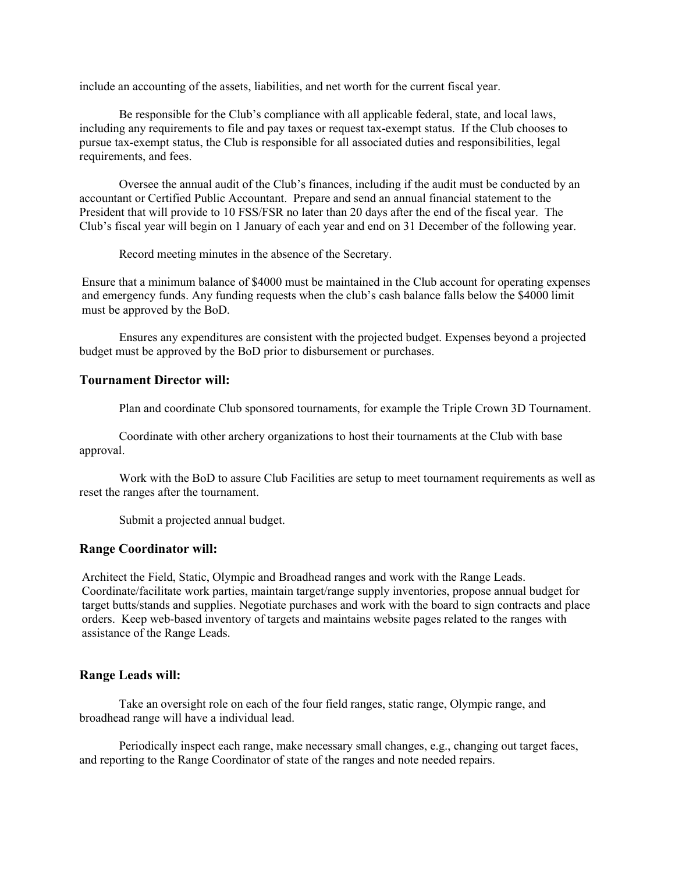include an accounting of the assets, liabilities, and net worth for the current fiscal year.

Be responsible for the Club's compliance with all applicable federal, state, and local laws, including any requirements to file and pay taxes or request tax-exempt status. If the Club chooses to pursue tax-exempt status, the Club is responsible for all associated duties and responsibilities, legal requirements, and fees.

Oversee the annual audit of the Club's finances, including if the audit must be conducted by an accountant or Certified Public Accountant. Prepare and send an annual financial statement to the President that will provide to 10 FSS/FSR no later than 20 days after the end of the fiscal year. The Club's fiscal year will begin on 1 January of each year and end on 31 December of the following year.

Record meeting minutes in the absence of the Secretary.

Ensure that a minimum balance of \$4000 must be maintained in the Club account for operating expenses and emergency funds. Any funding requests when the club's cash balance falls below the \$4000 limit must be approved by the BoD.

Ensures any expenditures are consistent with the projected budget. Expenses beyond a projected budget must be approved by the BoD prior to disbursement or purchases.

#### **Tournament Director will:**

Plan and coordinate Club sponsored tournaments, for example the Triple Crown 3D Tournament.

Coordinate with other archery organizations to host their tournaments at the Club with base approval.

Work with the BoD to assure Club Facilities are setup to meet tournament requirements as well as reset the ranges after the tournament.

Submit a projected annual budget.

#### **Range Coordinator will:**

Architect the Field, Static, Olympic and Broadhead ranges and work with the Range Leads. Coordinate/facilitate work parties, maintain target/range supply inventories, propose annual budget for target butts/stands and supplies. Negotiate purchases and work with the board to sign contracts and place orders. Keep web-based inventory of targets and maintains website pages related to the ranges with assistance of the Range Leads.

#### **Range Leads will:**

Take an oversight role on each of the four field ranges, static range, Olympic range, and broadhead range will have a individual lead.

Periodically inspect each range, make necessary small changes, e.g., changing out target faces, and reporting to the Range Coordinator of state of the ranges and note needed repairs.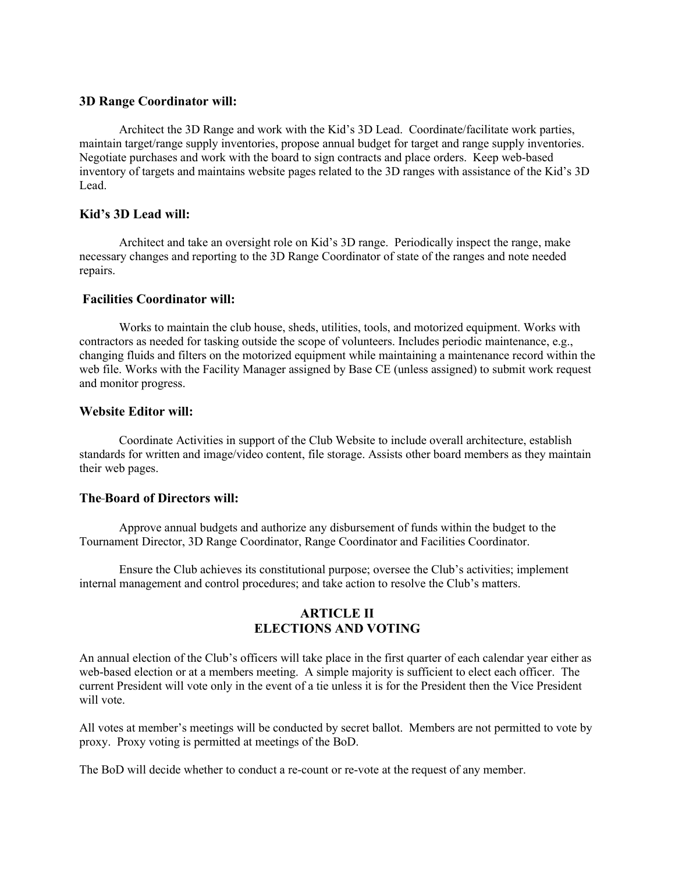#### **3D Range Coordinator will:**

Architect the 3D Range and work with the Kid's 3D Lead. Coordinate/facilitate work parties, maintain target/range supply inventories, propose annual budget for target and range supply inventories. Negotiate purchases and work with the board to sign contracts and place orders. Keep web-based inventory of targets and maintains website pages related to the 3D ranges with assistance of the Kid's 3D Lead.

#### **Kid's 3D Lead will:**

Architect and take an oversight role on Kid's 3D range. Periodically inspect the range, make necessary changes and reporting to the 3D Range Coordinator of state of the ranges and note needed repairs.

#### **Facilities Coordinator will:**

Works to maintain the club house, sheds, utilities, tools, and motorized equipment. Works with contractors as needed for tasking outside the scope of volunteers. Includes periodic maintenance, e.g., changing fluids and filters on the motorized equipment while maintaining a maintenance record within the web file. Works with the Facility Manager assigned by Base CE (unless assigned) to submit work request and monitor progress.

#### **Website Editor will:**

Coordinate Activities in support of the Club Website to include overall architecture, establish standards for written and image/video content, file storage. Assists other board members as they maintain their web pages.

#### **The Board of Directors will:**

Approve annual budgets and authorize any disbursement of funds within the budget to the Tournament Director, 3D Range Coordinator, Range Coordinator and Facilities Coordinator.

Ensure the Club achieves its constitutional purpose; oversee the Club's activities; implement internal management and control procedures; and take action to resolve the Club's matters.

## **ARTICLE II ELECTIONS AND VOTING**

An annual election of the Club's officers will take place in the first quarter of each calendar year either as web-based election or at a members meeting. A simple majority is sufficient to elect each officer. The current President will vote only in the event of a tie unless it is for the President then the Vice President will vote.

All votes at member's meetings will be conducted by secret ballot. Members are not permitted to vote by proxy. Proxy voting is permitted at meetings of the BoD.

The BoD will decide whether to conduct a re-count or re-vote at the request of any member.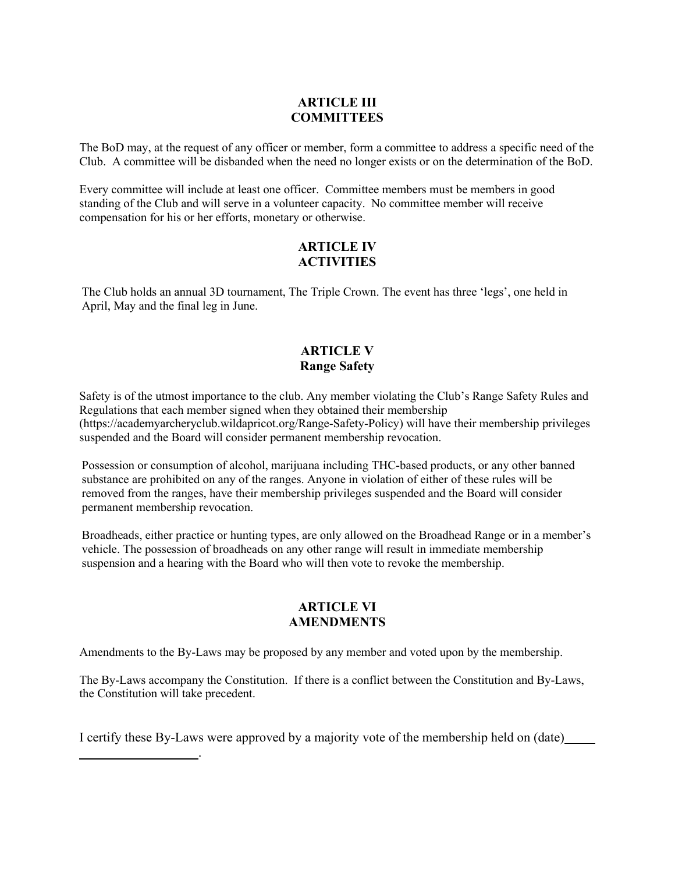## **ARTICLE III COMMITTEES**

The BoD may, at the request of any officer or member, form a committee to address a specific need of the Club. A committee will be disbanded when the need no longer exists or on the determination of the BoD.

Every committee will include at least one officer. Committee members must be members in good standing of the Club and will serve in a volunteer capacity. No committee member will receive compensation for his or her efforts, monetary or otherwise.

### **ARTICLE IV ACTIVITIES**

The Club holds an annual 3D tournament, The Triple Crown. The event has three 'legs', one held in April, May and the final leg in June.

## **ARTICLE V Range Safety**

Safety is of the utmost importance to the club. Any member violating the Club's Range Safety Rules and Regulations that each member signed when they obtained their membership (https://academyarcheryclub.wildapricot.org/Range-Safety-Policy) will have their membership privileges suspended and the Board will consider permanent membership revocation.

Possession or consumption of alcohol, marijuana including THC-based products, or any other banned substance are prohibited on any of the ranges. Anyone in violation of either of these rules will be removed from the ranges, have their membership privileges suspended and the Board will consider permanent membership revocation.

Broadheads, either practice or hunting types, are only allowed on the Broadhead Range or in a member's vehicle. The possession of broadheads on any other range will result in immediate membership suspension and a hearing with the Board who will then vote to revoke the membership.

#### **ARTICLE VI AMENDMENTS**

Amendments to the By-Laws may be proposed by any member and voted upon by the membership.

The By-Laws accompany the Constitution. If there is a conflict between the Constitution and By-Laws, the Constitution will take precedent.

I certify these By-Laws were approved by a majority vote of the membership held on (date)

.